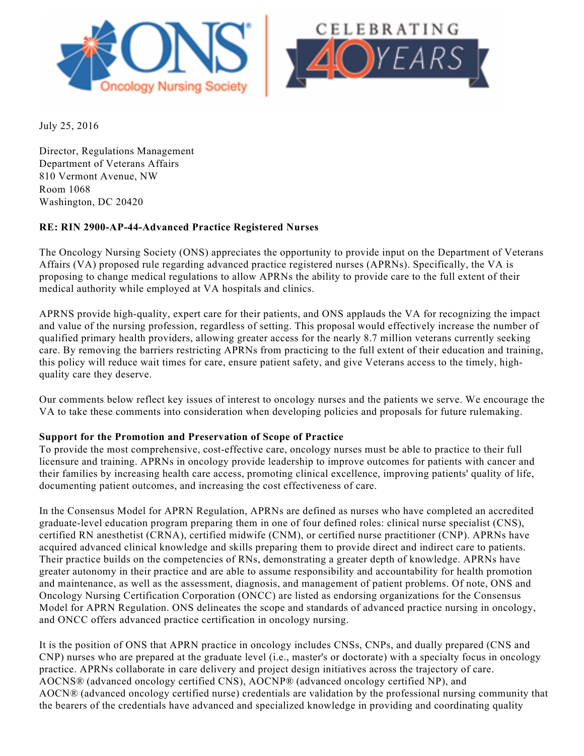



July 25, 2016

Director, Regulations Management Department of Veterans Affairs 810 Vermont Avenue, NW Room 1068 Washington, DC 20420

# **RE: RIN 2900-AP-44-Advanced Practice Registered Nurses**

The Oncology Nursing Society (ONS) appreciates the opportunity to provide input on the Department of Veterans Affairs (VA) proposed rule regarding advanced practice registered nurses (APRNs). Specifically, the VA is proposing to change medical regulations to allow APRNs the ability to provide care to the full extent of their medical authority while employed at VA hospitals and clinics.

APRNS provide high-quality, expert care for their patients, and ONS applauds the VA for recognizing the impact and value of the nursing profession, regardless of setting. This proposal would effectively increase the number of qualified primary health providers, allowing greater access for the nearly 8.7 million veterans currently seeking care. By removing the barriers restricting APRNs from practicing to the full extent of their education and training, this policy will reduce wait times for care, ensure patient safety, and give Veterans access to the timely, highquality care they deserve.

Our comments below reflect key issues of interest to oncology nurses and the patients we serve. We encourage the VA to take these comments into consideration when developing policies and proposals for future rulemaking.

## **Support for the Promotion and Preservation of Scope of Practice**

To provide the most comprehensive, cost-effective care, oncology nurses must be able to practice to their full licensure and training. APRNs in oncology provide leadership to improve outcomes for patients with cancer and their families by increasing health care access, promoting clinical excellence, improving patients' quality of life, documenting patient outcomes, and increasing the cost effectiveness of care.

In the Consensus Model for APRN Regulation, APRNs are defined as nurses who have completed an accredited graduate-level education program preparing them in one of four defined roles: clinical nurse specialist (CNS), certified RN anesthetist (CRNA), certified midwife (CNM), or certified nurse practitioner (CNP). APRNs have acquired advanced clinical knowledge and skills preparing them to provide direct and indirect care to patients. Their practice builds on the competencies of RNs, demonstrating a greater depth of knowledge. APRNs have greater autonomy in their practice and are able to assume responsibility and accountability for health promotion and maintenance, as well as the assessment, diagnosis, and management of patient problems. Of note, ONS and Oncology Nursing Certification Corporation (ONCC) are listed as endorsing organizations for the Consensus Model for APRN Regulation. ONS delineates the scope and standards of advanced practice nursing in oncology, and ONCC offers advanced practice certification in oncology nursing.

It is the position of ONS that APRN practice in oncology includes CNSs, CNPs, and dually prepared (CNS and CNP) nurses who are prepared at the graduate level (i.e., master's or doctorate) with a specialty focus in oncology practice. APRNs collaborate in care delivery and project design initiatives across the trajectory of care. AOCNS® (advanced oncology certified CNS), AOCNP® (advanced oncology certified NP), and AOCN® (advanced oncology certified nurse) credentials are validation by the professional nursing community that the bearers of the credentials have advanced and specialized knowledge in providing and coordinating quality